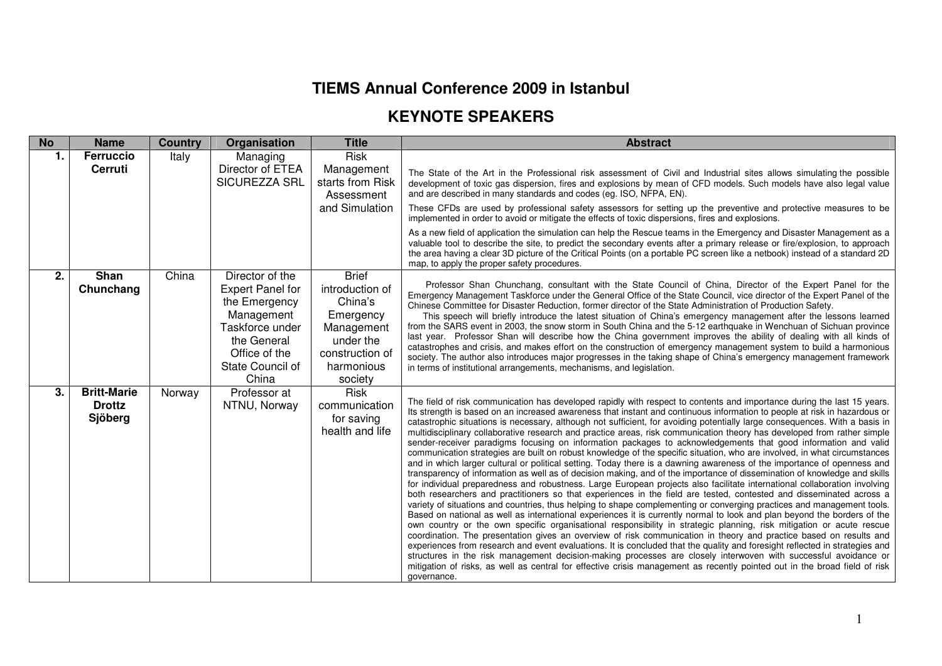## **TIEMS Annual Conference 2009 in Istanbul**

## **KEYNOTE SPEAKERS**

| <b>No</b>      | <b>Name</b>                                    | <b>Country</b> | Organisation                                                                                                                                              | <b>Title</b>                                                                                                                   | <b>Abstract</b>                                                                                                                                                                                                                                                                                                                                                                                                                                                                                                                                                                                                                                                                                                                                                                                                                                                                                                                                                                                                                                                                                                                                                                                                                                                                                                                                                                                                                                                                                                                                                                                                                                                                                                                                                                                                                                                                                                                                                                                                                                                                                                                                                              |
|----------------|------------------------------------------------|----------------|-----------------------------------------------------------------------------------------------------------------------------------------------------------|--------------------------------------------------------------------------------------------------------------------------------|------------------------------------------------------------------------------------------------------------------------------------------------------------------------------------------------------------------------------------------------------------------------------------------------------------------------------------------------------------------------------------------------------------------------------------------------------------------------------------------------------------------------------------------------------------------------------------------------------------------------------------------------------------------------------------------------------------------------------------------------------------------------------------------------------------------------------------------------------------------------------------------------------------------------------------------------------------------------------------------------------------------------------------------------------------------------------------------------------------------------------------------------------------------------------------------------------------------------------------------------------------------------------------------------------------------------------------------------------------------------------------------------------------------------------------------------------------------------------------------------------------------------------------------------------------------------------------------------------------------------------------------------------------------------------------------------------------------------------------------------------------------------------------------------------------------------------------------------------------------------------------------------------------------------------------------------------------------------------------------------------------------------------------------------------------------------------------------------------------------------------------------------------------------------------|
| $\mathbf{1}$ . | <b>Ferruccio</b><br>Cerruti                    | Italy          | Managing<br>Director of ETEA<br>SICUREZZA SRL                                                                                                             | <b>Risk</b><br>Management<br>starts from Risk<br>Assessment<br>and Simulation                                                  | The State of the Art in the Professional risk assessment of Civil and Industrial sites allows simulating the possible<br>development of toxic gas dispersion, fires and explosions by mean of CFD models. Such models have also legal value<br>and are described in many standards and codes (eg. ISO, NFPA, EN).<br>These CFDs are used by professional safety assessors for setting up the preventive and protective measures to be                                                                                                                                                                                                                                                                                                                                                                                                                                                                                                                                                                                                                                                                                                                                                                                                                                                                                                                                                                                                                                                                                                                                                                                                                                                                                                                                                                                                                                                                                                                                                                                                                                                                                                                                        |
|                |                                                |                |                                                                                                                                                           |                                                                                                                                | implemented in order to avoid or mitigate the effects of toxic dispersions, fires and explosions.<br>As a new field of application the simulation can help the Rescue teams in the Emergency and Disaster Management as a<br>valuable tool to describe the site, to predict the secondary events after a primary release or fire/explosion, to approach<br>the area having a clear 3D picture of the Critical Points (on a portable PC screen like a netbook) instead of a standard 2D<br>map, to apply the proper safety procedures.                                                                                                                                                                                                                                                                                                                                                                                                                                                                                                                                                                                                                                                                                                                                                                                                                                                                                                                                                                                                                                                                                                                                                                                                                                                                                                                                                                                                                                                                                                                                                                                                                                        |
| 2.             | Shan<br>Chunchang                              | China          | Director of the<br><b>Expert Panel for</b><br>the Emergency<br>Management<br>Taskforce under<br>the General<br>Office of the<br>State Council of<br>China | <b>Brief</b><br>introduction of<br>China's<br>Emergency<br>Management<br>under the<br>construction of<br>harmonious<br>society | Professor Shan Chunchang, consultant with the State Council of China, Director of the Expert Panel for the<br>Emergency Management Taskforce under the General Office of the State Council, vice director of the Expert Panel of the<br>Chinese Committee for Disaster Reduction, former director of the State Administration of Production Safety.<br>This speech will briefly introduce the latest situation of China's emergency management after the lessons learned<br>from the SARS event in 2003, the snow storm in South China and the 5-12 earthquake in Wenchuan of Sichuan province<br>last year. Professor Shan will describe how the China government improves the ability of dealing with all kinds of<br>catastrophes and crisis, and makes effort on the construction of emergency management system to build a harmonious<br>society. The author also introduces major progresses in the taking shape of China's emergency management framework<br>in terms of institutional arrangements, mechanisms, and legislation.                                                                                                                                                                                                                                                                                                                                                                                                                                                                                                                                                                                                                                                                                                                                                                                                                                                                                                                                                                                                                                                                                                                                     |
| 3.             | <b>Britt-Marie</b><br><b>Drottz</b><br>Sjöberg | Norway         | Professor at<br>NTNU, Norway                                                                                                                              | Risk<br>communication<br>for saving<br>health and life                                                                         | The field of risk communication has developed rapidly with respect to contents and importance during the last 15 years.<br>Its strength is based on an increased awareness that instant and continuous information to people at risk in hazardous or<br>catastrophic situations is necessary, although not sufficient, for avoiding potentially large consequences. With a basis in<br>multidisciplinary collaborative research and practice areas, risk communication theory has developed from rather simple<br>sender-receiver paradigms focusing on information packages to acknowledgements that good information and valid<br>communication strategies are built on robust knowledge of the specific situation, who are involved, in what circumstances<br>and in which larger cultural or political setting. Today there is a dawning awareness of the importance of openness and<br>transparency of information as well as of decision making, and of the importance of dissemination of knowledge and skills<br>for individual preparedness and robustness. Large European projects also facilitate international collaboration involving<br>both researchers and practitioners so that experiences in the field are tested, contested and disseminated across a<br>variety of situations and countries, thus helping to shape complementing or converging practices and management tools.<br>Based on national as well as international experiences it is currently normal to look and plan beyond the borders of the<br>own country or the own specific organisational responsibility in strategic planning, risk mitigation or acute rescue<br>coordination. The presentation gives an overview of risk communication in theory and practice based on results and<br>experiences from research and event evaluations. It is concluded that the quality and foresight reflected in strategies and<br>structures in the risk management decision-making processes are closely interwoven with successful avoidance or<br>mitigation of risks, as well as central for effective crisis management as recently pointed out in the broad field of risk<br>governance. |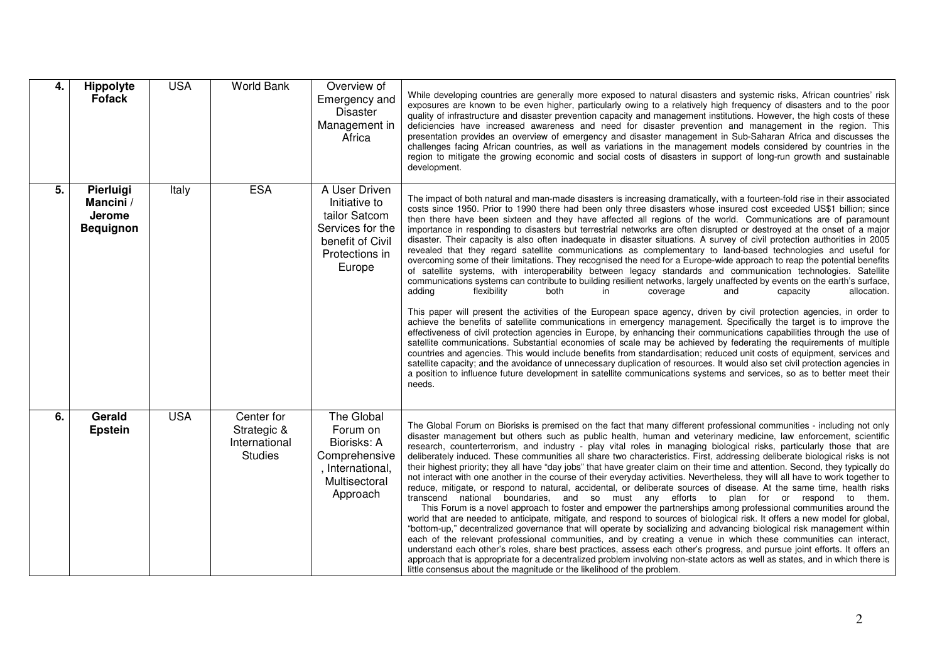| 4. | Hippolyte<br><b>Fofack</b>                                  | <b>USA</b> | <b>World Bank</b>                                            | Overview of<br>Emergency and<br><b>Disaster</b><br>Management in<br>Africa                                          | While developing countries are generally more exposed to natural disasters and systemic risks, African countries' risk<br>exposures are known to be even higher, particularly owing to a relatively high frequency of disasters and to the poor<br>quality of infrastructure and disaster prevention capacity and management institutions. However, the high costs of these<br>deficiencies have increased awareness and need for disaster prevention and management in the region. This<br>presentation provides an overview of emergency and disaster management in Sub-Saharan Africa and discusses the<br>challenges facing African countries, as well as variations in the management models considered by countries in the<br>region to mitigate the growing economic and social costs of disasters in support of long-run growth and sustainable<br>development.                                                                                                                                                                                                                                                                                                                                                                                                                                                                                                                                                                                                                                                                                                                                                                                                                                                                                                                                                                                                                                                                                                                                                                                                                                             |
|----|-------------------------------------------------------------|------------|--------------------------------------------------------------|---------------------------------------------------------------------------------------------------------------------|---------------------------------------------------------------------------------------------------------------------------------------------------------------------------------------------------------------------------------------------------------------------------------------------------------------------------------------------------------------------------------------------------------------------------------------------------------------------------------------------------------------------------------------------------------------------------------------------------------------------------------------------------------------------------------------------------------------------------------------------------------------------------------------------------------------------------------------------------------------------------------------------------------------------------------------------------------------------------------------------------------------------------------------------------------------------------------------------------------------------------------------------------------------------------------------------------------------------------------------------------------------------------------------------------------------------------------------------------------------------------------------------------------------------------------------------------------------------------------------------------------------------------------------------------------------------------------------------------------------------------------------------------------------------------------------------------------------------------------------------------------------------------------------------------------------------------------------------------------------------------------------------------------------------------------------------------------------------------------------------------------------------------------------------------------------------------------------------------------------------|
| 5. | Pierluigi<br>Mancini /<br><b>Jerome</b><br><b>Bequignon</b> | Italy      | <b>ESA</b>                                                   | A User Driven<br>Initiative to<br>tailor Satcom<br>Services for the<br>benefit of Civil<br>Protections in<br>Europe | The impact of both natural and man-made disasters is increasing dramatically, with a fourteen-fold rise in their associated<br>costs since 1950. Prior to 1990 there had been only three disasters whose insured cost exceeded US\$1 billion; since<br>then there have been sixteen and they have affected all regions of the world. Communications are of paramount<br>importance in responding to disasters but terrestrial networks are often disrupted or destroyed at the onset of a major<br>disaster. Their capacity is also often inadequate in disaster situations. A survey of civil protection authorities in 2005<br>revealed that they regard satellite communications as complementary to land-based technologies and useful for<br>overcoming some of their limitations. They recognised the need for a Europe-wide approach to reap the potential benefits<br>of satellite systems, with interoperability between legacy standards and communication technologies. Satellite<br>communications systems can contribute to building resilient networks, largely unaffected by events on the earth's surface,<br>allocation.<br>adding<br>flexibility<br>both<br>coverage<br>in.<br>and<br>capacity<br>This paper will present the activities of the European space agency, driven by civil protection agencies, in order to<br>achieve the benefits of satellite communications in emergency management. Specifically the target is to improve the<br>effectiveness of civil protection agencies in Europe, by enhancing their communications capabilities through the use of<br>satellite communications. Substantial economies of scale may be achieved by federating the requirements of multiple<br>countries and agencies. This would include benefits from standardisation; reduced unit costs of equipment, services and<br>satellite capacity; and the avoidance of unnecessary duplication of resources. It would also set civil protection agencies in<br>a position to influence future development in satellite communications systems and services, so as to better meet their<br>needs. |
| 6. | Gerald<br><b>Epstein</b>                                    | <b>USA</b> | Center for<br>Strategic &<br>International<br><b>Studies</b> | The Global<br>Forum on<br>Biorisks: A<br>Comprehensive<br>, International,<br>Multisectoral<br>Approach             | The Global Forum on Biorisks is premised on the fact that many different professional communities - including not only<br>disaster management but others such as public health, human and veterinary medicine, law enforcement, scientific<br>research, counterterrorism, and industry - play vital roles in managing biological risks, particularly those that are<br>deliberately induced. These communities all share two characteristics. First, addressing deliberate biological risks is not<br>their highest priority; they all have "day jobs" that have greater claim on their time and attention. Second, they typically do<br>not interact with one another in the course of their everyday activities. Nevertheless, they will all have to work together to<br>reduce, mitigate, or respond to natural, accidental, or deliberate sources of disease. At the same time, health risks<br>transcend national boundaries, and so must any efforts to plan for or respond to them.<br>This Forum is a novel approach to foster and empower the partnerships among professional communities around the<br>world that are needed to anticipate, mitigate, and respond to sources of biological risk. It offers a new model for global,<br>"bottom-up," decentralized governance that will operate by socializing and advancing biological risk management within<br>each of the relevant professional communities, and by creating a venue in which these communities can interact,<br>understand each other's roles, share best practices, assess each other's progress, and pursue joint efforts. It offers an<br>approach that is appropriate for a decentralized problem involving non-state actors as well as states, and in which there is<br>little consensus about the magnitude or the likelihood of the problem.                                                                                                                                                                                                                                                                                    |